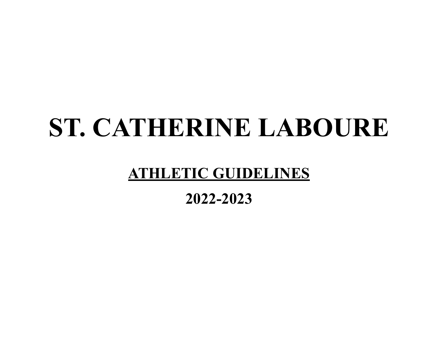# **ST. CATHERINE LABOURE**

# **ATHLETIC GUIDELINES**

# **2022-2023**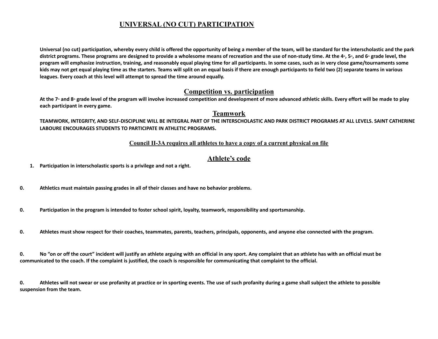#### **UNIVERSAL (NO CUT) PARTICIPATION**

Universal (no cut) participation, whereby every child is offered the opportunity of being a member of the team, will be standard for the interscholastic and the park district programs. These programs are designed to provide a wholesome means of recreation and the use of non-study time. At the 4<sup>\*</sup>, 5<sup>\*</sup>, and 6<sup>\*</sup> grade level, the program will emphasize instruction, training, and reasonably equal playing time for all participants. In some cases, such as in very close game/tournaments some kids may not get equal playing time as the starters. Teams will split on an equal basis if there are enough participants to field two (2) separate teams in various **leagues. Every coach at this level will attempt to spread the time around equally.**

#### **Competition vs. participation**

At the 7<sup>th</sup> and 8<sup>th</sup> grade level of the program will involve increased competition and development of more advanced athletic skills. Every effort will be made to play **each participant in every game.**

#### **Teamwork**

TEAMWORK, INTEGRITY, AND SELF-DISCIPLINE WILL BE INTEGRAL PART OF THE INTERSCHOLASTIC AND PARK DISTRICT PROGRAMS AT ALL LEVELS. SAINT CATHERINE **LABOURE ENCOURAGES STUDENTS TO PARTICIPATE IN ATHLETIC PROGRAMS.**

#### **Council II-3A requires all athletes to have a copy of a current physical on file**

#### **Athlete's code**

**1. Participation in interscholastic sports is a privilege and not a right.**

- **0. Athletics must maintain passing grades in all of their classes and have no behavior problems.**
- 0. Participation in the program is intended to foster school spirit, loyalty, teamwork, responsibility and sportsmanship.
- 0. Athletes must show respect for their coaches, teammates, parents, teachers, principals, opponents, and anyone else connected with the program.

0. No "on or off the court" incident will justify an athlete arguing with an official in any sport. Any complaint that an athlete has with an official must be communicated to the coach. If the complaint is justified, the coach is responsible for communicating that complaint to the official.

0. Athletes will not swear or use profanity at practice or in sporting events. The use of such profanity during a game shall subject the athlete to possible **suspension from the team.**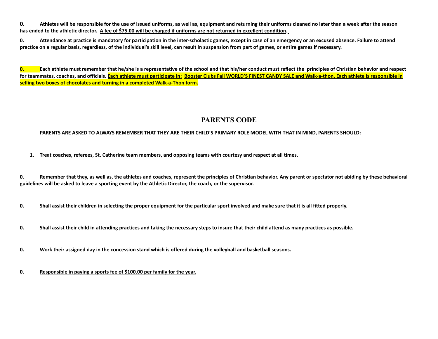0. Athletes will be responsible for the use of issued uniforms, as well as, equipment and returning their uniforms cleaned no later than a week after the season has ended to the athletic director. A fee of \$75.00 will be charged if uniforms are not returned in excellent condition.

0. Attendance at practice is mandatory for participation in the inter-scholastic games, except in case of an emergency or an excused absence. Failure to attend practice on a regular basis, regardless, of the individual's skill level, can result in suspension from part of games, or entire games if necessary.

0. Each athlete must remember that he/she is a representative of the school and that his/her conduct must reflect the principles of Christian behavior and respect for teammates, coaches, and officials. Each athlete must participate in: Booster Clubs Fall WORLD'S FINEST CANDY SALE and Walk-a-thon. Each athlete is responsible in **selling two boxes of chocolates and turning in a completed Walk-a-Thon form.**

#### **PARENTS CODE**

#### PARENTS ARE ASKED TO ALWAYS REMEMBER THAT THEY ARE THEIR CHILD'S PRIMARY ROLE MODEL WITH THAT IN MIND, PARENTS SHOULD:

1. Treat coaches, referees, St. Catherine team members, and opposing teams with courtesy and respect at all times.

0. Remember that they, as well as, the athletes and coaches, represent the principles of Christian behavior. Any parent or spectator not abiding by these behavioral guidelines will be asked to leave a sporting event by the Athletic Director, the coach, or the supervisor.

0. Shall assist their children in selecting the proper equipment for the particular sport involved and make sure that it is all fitted properly.

- 0. Shall assist their child in attending practices and taking the necessary steps to insure that their child attend as many practices as possible.
- 0. Work their assigned day in the concession stand which is offered during the volleyball and basketball seasons.
- **0. Responsible in paying a sports fee of \$100.00 per family for the year.**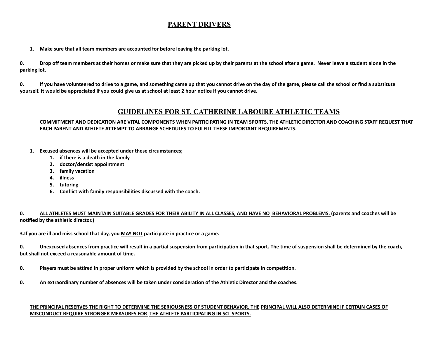#### **PARENT DRIVERS**

**1. Make sure that all team members are accounted for before leaving the parking lot.**

0. Drop off team members at their homes or make sure that they are picked up by their parents at the school after a game. Never leave a student alone in the **parking lot.**

0. If you have volunteered to drive to a game, and something came up that you cannot drive on the day of the game, please call the school or find a substitute yourself. It would be appreciated if you could give us at school at least 2 hour notice if you cannot drive.

#### **GUIDELINES FOR ST. CATHERINE LABOURE ATHLETIC TEAMS**

#### COMMITMENT AND DEDICATION ARE VITAL COMPONENTS WHEN PARTICIPATING IN TEAM SPORTS. THE ATHLETIC DIRECTOR AND COACHING STAFF REQUEST THAT **EACH PARENT AND ATHLETE ATTEMPT TO ARRANGE SCHEDULES TO FULFILL THESE IMPORTANT REQUIREMENTS.**

- **1. Excused absences will be accepted under these circumstances;**
	- **1. if there is a death in the family**
	- **2. doctor/dentist appointment**
	- **3. family vacation**
	- **4. illness**
	- **5. tutoring**
	- **6. Conflict with family responsibilities discussed with the coach.**

#### 0. ALL ATHLETES MUST MAINTAIN SUITABLE GRADES FOR THEIR ABILITY IN ALL CLASSES, AND HAVE NO BEHAVIORAL PROBLEMS. (parents and coaches will be **notified by the athletic director.)**

**3.If you are ill and miss school that day, you MAY NOT participate in practice or a game.**

0. Unexcused absences from practice will result in a partial suspension from participation in that sport. The time of suspension shall be determined by the coach, **but shall not exceed a reasonable amount of time.**

- 0. Players must be attired in proper uniform which is provided by the school in order to participate in competition.
- 0. An extraordinary number of absences will be taken under consideration of the Athletic Director and the coaches.

#### THE PRINCIPAL RESERVES THE RIGHT TO DETERMINE THE SERIOUSNESS OF STUDENT BEHAVIOR. THE PRINCIPAL WILL ALSO DETERMINE IF CERTAIN CASES OF **MISCONDUCT REQUIRE STRONGER MEASURES FOR THE ATHLETE PARTICIPATING IN SCL SPORTS.**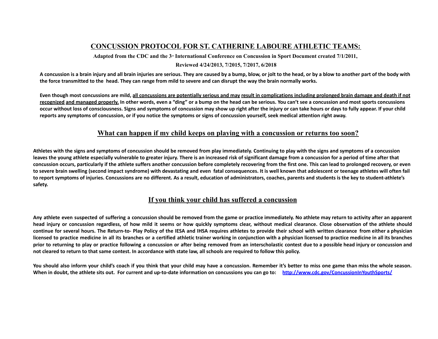#### **CONCUSSION PROTOCOL FOR ST. CATHERINE LABOURE ATHLETIC TEAMS:**

Adapted from the CDC and the  $3<sup>a</sup>$  International Conference on Concussion in Sport Document created 7/1/2011,

#### **Reviewed 4/24/2013, 7/2015, 7/2017, 6/2018**

A concussion is a brain injury and all brain injuries are serious. They are caused by a bump, blow, or jolt to the head, or by a blow to another part of the body with the force transmitted to the head. They can range from mild to severe and can disrupt the way the brain normally works.

Even though most concussions are mild, all concussions are potentially serious and may result in complications including prolonged brain damage and death if not recognized and managed properly. In other words, even a "ding" or a bump on the head can be serious. You can't see a concussion and most sports concussions occur without loss of consciousness. Signs and symptoms of concussion may show up right after the injury or can take hours or days to fully appear. If your child reports any symptoms of concussion, or if you notice the symptoms or signs of concussion yourself, seek medical attention right away.

#### **What can happen if my child keeps on playing with a concussion or returns too soon?**

Athletes with the signs and symptoms of concussion should be removed from play immediately. Continuing to play with the signs and symptoms of a concussion leaves the young athlete especially vulnerable to greater injury. There is an increased risk of significant damage from a concussion for a period of time after that concussion occurs, particularly if the athlete suffers another concussion before completely recovering from the first one. This can lead to prolonged recovery, or even to severe brain swelling (second impact syndrome) with devastating and even fatal consequences. It is well known that adolescent or teenage athletes will often fail to report symptoms of injuries. Concussions are no different. As a result, education of administrators, coaches, parents and students is the key to student-athlete's **safety.**

#### **If you think your child has suffered a concussion**

Any athlete even suspected of suffering a concussion should be removed from the game or practice immediately. No athlete may return to activity after an apparent head injury or concussion regardless, of how mild it seems or how quickly symptoms clear, without medical clearance. Close observation of the athlete should continue for several hours. The Return-to- Play Policy of the IESA and IHSA requires athletes to provide their school with written clearance from either a physician licensed to practice medicine in all its branches or a certified athletic trainer working in conjunction with a physician licensed to practice medicine in all its branches prior to returning to play or practice following a concussion or after being removed from an interscholastic contest due to a possible head injury or concussion and not cleared to return to that same contest. In accordance with state law, all schools are required to follow this policy.

You should also inform your child's coach if you think that your child may have a concussion. Remember it's better to miss one game than miss the whole season. When in doubt, the athlete sits out. For current and up-to-date information on concussions you can go to: http://www.cdc.gov/ConcussionlnYouthSports/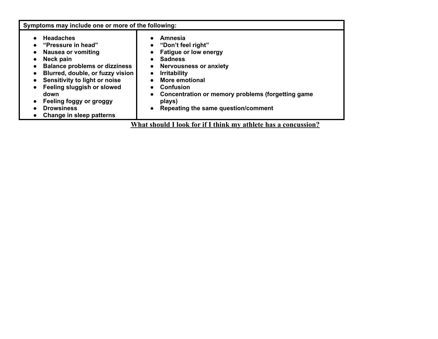| Symptoms may include one or more of the following:                                                                                                                                                                                                                                                              |                                                                                                                                                                                                                                                                              |  |  |  |  |
|-----------------------------------------------------------------------------------------------------------------------------------------------------------------------------------------------------------------------------------------------------------------------------------------------------------------|------------------------------------------------------------------------------------------------------------------------------------------------------------------------------------------------------------------------------------------------------------------------------|--|--|--|--|
| <b>Headaches</b><br>"Pressure in head"<br><b>Nausea or vomiting</b><br>Neck pain<br><b>Balance problems or dizziness</b><br>Blurred, double, or fuzzy vision<br>Sensitivity to light or noise<br>Feeling sluggish or slowed<br>down<br>Feeling foggy or groggy<br><b>Drowsiness</b><br>Change in sleep patterns | Amnesia<br>"Don't feel right"<br><b>Fatigue or low energy</b><br><b>Sadness</b><br><b>Nervousness or anxiety</b><br><b>Irritability</b><br>More emotional<br>Confusion<br>Concentration or memory problems (forgetting game<br>plays)<br>Repeating the same question/comment |  |  |  |  |
| What should I look for if I think my athlete has a concussion?                                                                                                                                                                                                                                                  |                                                                                                                                                                                                                                                                              |  |  |  |  |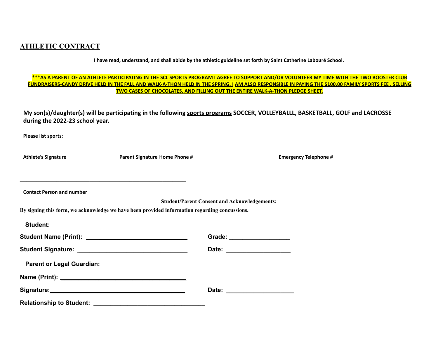#### **ATHLETIC CONTRACT**

I have read, understand, and shall abide by the athletic guideline set forth by Saint Catherine Labouré School.

#### \*\*\*AS A PARENT OF AN ATHLETE PARTICIPATING IN THE SCL SPORTS PROGRAM I AGREE TO SUPPORT AND/OR VOLUNTEER MY TIME WITH THE TWO BOOSTER CLUB FUNDRAISERS-CANDY DRIVE HELD IN THE FALL AND WALK-A-THON HELD IN THE SPRING. I AM ALSO RESPONSIBLE IN PAYING THE \$100.00 FAMILY SPORTS FEE, SELLING **TWO CASES OF CHOCOLATES, AND FILLING OUT THE ENTIRE WALK-A-THON PLEDGE SHEET.**

**My son(s)/daughter(s) will be participating in the following sports programs SOCCER, VOLLEYBALLL, BASKETBALL, GOLF and LACROSSE during the 2022-23 school year.**

| <b>Athlete's Signature</b>       | <b>Parent Signature Home Phone #</b>                                                                                |                                                     | <b>Emergency Telephone #</b> |
|----------------------------------|---------------------------------------------------------------------------------------------------------------------|-----------------------------------------------------|------------------------------|
|                                  | <u> 1989 - 1989 - 1989 - 1989 - 1989 - 1989 - 1989 - 1989 - 1989 - 1989 - 1989 - 1989 - 1989 - 1989 - 1989 - 19</u> |                                                     |                              |
| <b>Contact Person and number</b> |                                                                                                                     |                                                     |                              |
|                                  | By signing this form, we acknowledge we have been provided information regarding concussions.                       | <b>Student/Parent Consent and Acknowledgements:</b> |                              |
| <b>Student:</b>                  |                                                                                                                     |                                                     |                              |
|                                  |                                                                                                                     | Grade: ____________________                         |                              |
|                                  |                                                                                                                     |                                                     |                              |
| <b>Parent or Legal Guardian:</b> |                                                                                                                     |                                                     |                              |
|                                  |                                                                                                                     |                                                     |                              |
|                                  |                                                                                                                     |                                                     |                              |
|                                  | Relationship to Student: _________________________________                                                          |                                                     |                              |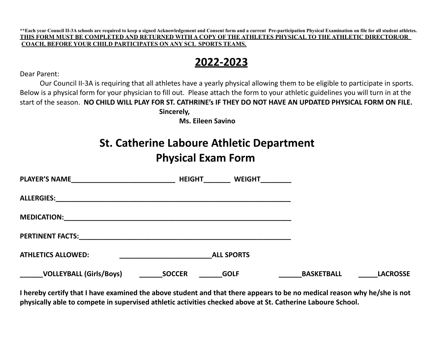**\*\*Each year Council II-3A schools are required to keep a signed Acknowledgement and Consent form and a current Pre-participation Physical Examination on file for all student athletes.** THIS FORM MUST BE COMPLETED AND RETURNED WITH A COPY OF THE ATHLETES PHYSICAL TO THE ATHLETIC DIRECTOR/OR **COACH, BEFORE YOUR CHILD PARTICIPATES ON ANY SCL SPORTS TEAMS.**

### **2022-2023**

Dear Parent:

Our Council II-3A is requiring that all athletes have a yearly physical allowing them to be eligible to participate in sports. Below is a physical form for your physician to fill out. Please attach the form to your athletic guidelines you will turn in at the start of the season. NO CHILD WILL PLAY FOR ST. CATHRINE's IF THEY DO NOT HAVE AN UPDATED PHYSICAL FORM ON FILE.

**Sincerely,**

**Ms. Eileen Savino**

### **St. Catherine Laboure Athletic Department Physical Exam Form**

| <b>PLAYER'S NAME</b>                                                                                                                        | <b>HEIGHT</b> | <b>WEIGHT</b>     |                   |                 |
|---------------------------------------------------------------------------------------------------------------------------------------------|---------------|-------------------|-------------------|-----------------|
| <b>ALLERGIES:</b>                                                                                                                           |               |                   |                   |                 |
| <b>MEDICATION:</b><br><u> 1989 - Johann Stoff, deutscher Stoff, der Stoff, der Stoff, der Stoff, der Stoff, der Stoff, der Stoff, der S</u> |               |                   |                   |                 |
| <b>PERTINENT FACTS:</b>                                                                                                                     |               |                   |                   |                 |
| <b>ATHLETICS ALLOWED:</b>                                                                                                                   |               | <b>ALL SPORTS</b> |                   |                 |
| <b>VOLLEYBALL (Girls/Boys)</b>                                                                                                              | <b>SOCCER</b> | <b>GOLF</b>       | <b>BASKETBALL</b> | <b>LACROSSE</b> |

I hereby certify that I have examined the above student and that there appears to be no medical reason why he/she is not **physically able to compete in supervised athletic activities checked above at St. Catherine Laboure School.**